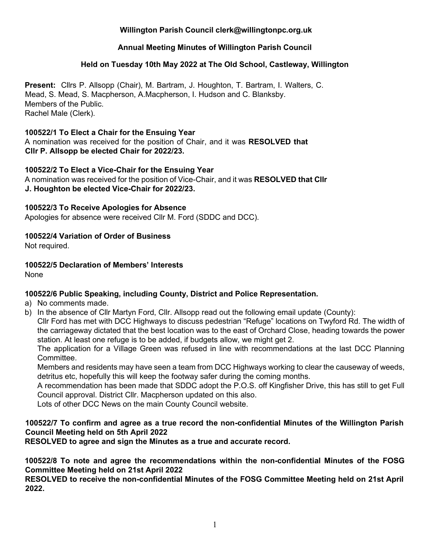# **Willington Parish Council clerk@willingtonpc.org.uk**

# **Annual Meeting Minutes of Willington Parish Council**

### **Held on Tuesday 10th May 2022 at The Old School, Castleway, Willington**

**Present:** Cllrs P. Allsopp (Chair), M. Bartram, J. Houghton, T. Bartram, I. Walters, C. Mead, S. Mead, S. Macpherson, A.Macpherson, I. Hudson and C. Blanksby. Members of the Public. Rachel Male (Clerk).

#### **100522/1 To Elect a Chair for the Ensuing Year**

A nomination was received for the position of Chair, and it was **RESOLVED that Cllr P. Allsopp be elected Chair for 2022/23.** 

## **100522/2 To Elect a Vice-Chair for the Ensuing Year**

A nomination was received for the position of Vice-Chair, and it was **RESOLVED that Cllr J. Houghton be elected Vice-Chair for 2022/23.** 

#### **100522/3 To Receive Apologies for Absence**

Apologies for absence were received Cllr M. Ford (SDDC and DCC).

# **100522/4 Variation of Order of Business**

Not required.

# **100522/5 Declaration of Members' Interests**

None

# **100522/6 Public Speaking, including County, District and Police Representation.**

- a) No comments made.
- b) In the absence of Cllr Martyn Ford, Cllr. Allsopp read out the following email update (County):

Cllr Ford has met with DCC Highways to discuss pedestrian "Refuge" locations on Twyford Rd. The width of the carriageway dictated that the best location was to the east of Orchard Close, heading towards the power station. At least one refuge is to be added, if budgets allow, we might get 2.

The application for a Village Green was refused in line with recommendations at the last DCC Planning Committee.

Members and residents may have seen a team from DCC Highways working to clear the causeway of weeds, detritus etc, hopefully this will keep the footway safer during the coming months.

A recommendation has been made that SDDC adopt the P.O.S. off Kingfisher Drive, this has still to get Full Council approval. District Cllr. Macpherson updated on this also.

Lots of other DCC News on the main County Council website.

# **100522/7 To confirm and agree as a true record the non-confidential Minutes of the Willington Parish Council Meeting held on 5th April 2022**

**RESOLVED to agree and sign the Minutes as a true and accurate record.** 

**100522/8 To note and agree the recommendations within the non-confidential Minutes of the FOSG Committee Meeting held on 21st April 2022**

**RESOLVED to receive the non-confidential Minutes of the FOSG Committee Meeting held on 21st April 2022.**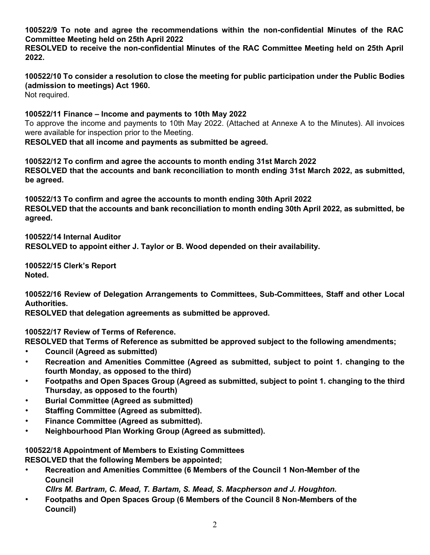**100522/9 To note and agree the recommendations within the non-confidential Minutes of the RAC Committee Meeting held on 25th April 2022**

**RESOLVED to receive the non-confidential Minutes of the RAC Committee Meeting held on 25th April 2022.**

**100522/10 To consider a resolution to close the meeting for public participation under the Public Bodies (admission to meetings) Act 1960.**  Not required.

**100522/11 Finance – Income and payments to 10th May 2022** To approve the income and payments to 10th May 2022. (Attached at Annexe A to the Minutes). All invoices were available for inspection prior to the Meeting.

**RESOLVED that all income and payments as submitted be agreed.** 

**100522/12 To confirm and agree the accounts to month ending 31st March 2022 RESOLVED that the accounts and bank reconciliation to month ending 31st March 2022, as submitted, be agreed.** 

**100522/13 To confirm and agree the accounts to month ending 30th April 2022 RESOLVED that the accounts and bank reconciliation to month ending 30th April 2022, as submitted, be agreed.** 

**100522/14 Internal Auditor RESOLVED to appoint either J. Taylor or B. Wood depended on their availability.** 

**100522/15 Clerk's Report Noted.**

**100522/16 Review of Delegation Arrangements to Committees, Sub-Committees, Staff and other Local Authorities.** 

**RESOLVED that delegation agreements as submitted be approved.**

**100522/17 Review of Terms of Reference.** 

**RESOLVED that Terms of Reference as submitted be approved subject to the following amendments;** 

- **Council (Agreed as submitted)**
- **Recreation and Amenities Committee (Agreed as submitted, subject to point 1. changing to the fourth Monday, as opposed to the third)**
- **Footpaths and Open Spaces Group (Agreed as submitted, subject to point 1. changing to the third Thursday, as opposed to the fourth)**
- **Burial Committee (Agreed as submitted)**
- **Staffing Committee (Agreed as submitted).**
- **Finance Committee (Agreed as submitted).**
- **Neighbourhood Plan Working Group (Agreed as submitted).**

**100522/18 Appointment of Members to Existing Committees RESOLVED that the following Members be appointed;** 

• **Recreation and Amenities Committee (6 Members of the Council 1 Non-Member of the Council** 

*Cllrs M. Bartram, C. Mead, T. Bartam, S. Mead, S. Macpherson and J. Houghton.*

• **Footpaths and Open Spaces Group (6 Members of the Council 8 Non-Members of the Council)**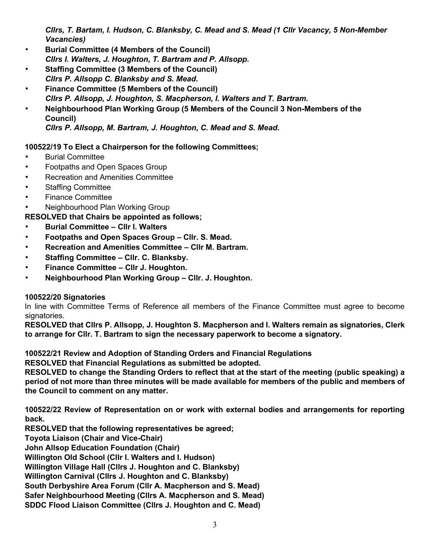*Cllrs, T. Bartam, I. Hudson, C. Blanksby, C. Mead and S. Mead (1 Cllr Vacancy, 5 Non-Member Vacancies)* 

- **Burial Committee (4 Members of the Council)**  *Cllrs I. Walters, J. Houghton, T. Bartram and P. Allsopp.*
- **Staffing Committee (3 Members of the Council)**  *Cllrs P. Allsopp C. Blanksby and S. Mead.*
- **Finance Committee (5 Members of the Council)**  *Cllrs P. Allsopp, J. Houghton, S. Macpherson, I. Walters and T. Bartram.*
- **Neighbourhood Plan Working Group (5 Members of the Council 3 Non-Members of the Council)**

*Cllrs P. Allsopp, M. Bartram, J. Houghton, C. Mead and S. Mead.*

# **100522/19 To Elect a Chairperson for the following Committees;**

- Burial Committee
- Footpaths and Open Spaces Group
- Recreation and Amenities Committee
- Staffing Committee
- Finance Committee
- Neighbourhood Plan Working Group

**RESOLVED that Chairs be appointed as follows;** 

- **Burial Committee – Cllr I. Walters**
- **Footpaths and Open Spaces Group – Cllr. S. Mead.**
- **Recreation and Amenities Committee – Cllr M. Bartram.**
- **Staffing Committee – Cllr. C. Blanksby.**
- **Finance Committee – Cllr J. Houghton.**
- **Neighbourhood Plan Working Group – Cllr. J. Houghton.**

# **100522/20 Signatories**

In line with Committee Terms of Reference all members of the Finance Committee must agree to become signatories.

**RESOLVED that Cllrs P. Allsopp, J. Houghton S. Macpherson and I. Walters remain as signatories, Clerk to arrange for Cllr. T. Bartram to sign the necessary paperwork to become a signatory.** 

**100522/21 Review and Adoption of Standing Orders and Financial Regulations** 

**RESOLVED that Financial Regulations as submitted be adopted.** 

**RESOLVED to change the Standing Orders to reflect that at the start of the meeting (public speaking) a period of not more than three minutes will be made available for members of the public and members of the Council to comment on any matter.**

**100522/22 Review of Representation on or work with external bodies and arrangements for reporting back.** 

**RESOLVED that the following representatives be agreed;** 

**Toyota Liaison (Chair and Vice-Chair)** 

**John Allsop Education Foundation (Chair)** 

**Willington Old School (Cllr I. Walters and I. Hudson)** 

**Willington Village Hall (Cllrs J. Houghton and C. Blanksby)** 

**Willington Carnival (Cllrs J. Houghton and C. Blanksby)** 

**South Derbyshire Area Forum (Cllr A. Macpherson and S. Mead)** 

**Safer Neighbourhood Meeting (Cllrs A. Macpherson and S. Mead)** 

**SDDC Flood Liaison Committee (Cllrs J. Houghton and C. Mead)**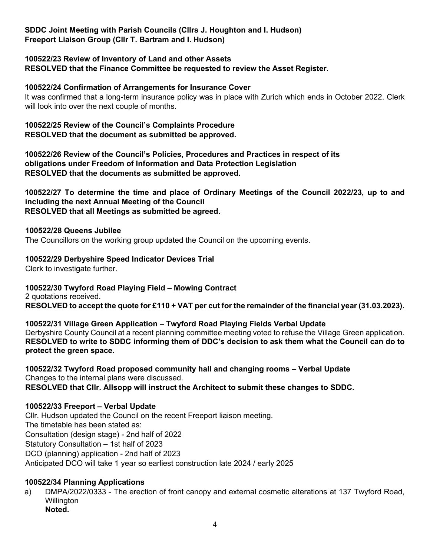**SDDC Joint Meeting with Parish Councils (Cllrs J. Houghton and I. Hudson) Freeport Liaison Group (Cllr T. Bartram and I. Hudson)** 

### **100522/23 Review of Inventory of Land and other Assets**

**RESOLVED that the Finance Committee be requested to review the Asset Register.** 

#### **100522/24 Confirmation of Arrangements for Insurance Cover**

It was confirmed that a long-term insurance policy was in place with Zurich which ends in October 2022. Clerk will look into over the next couple of months.

#### **100522/25 Review of the Council's Complaints Procedure RESOLVED that the document as submitted be approved.**

**100522/26 Review of the Council's Policies, Procedures and Practices in respect of its obligations under Freedom of Information and Data Protection Legislation RESOLVED that the documents as submitted be approved.** 

**100522/27 To determine the time and place of Ordinary Meetings of the Council 2022/23, up to and including the next Annual Meeting of the Council RESOLVED that all Meetings as submitted be agreed.** 

#### **100522/28 Queens Jubilee**

The Councillors on the working group updated the Council on the upcoming events.

#### **100522/29 Derbyshire Speed Indicator Devices Trial**

Clerk to investigate further.

#### **100522/30 Twyford Road Playing Field – Mowing Contract**

2 quotations received. **RESOLVED to accept the quote for £110 + VAT per cut for the remainder of the financial year (31.03.2023).**

**100522/31 Village Green Application – Twyford Road Playing Fields Verbal Update** Derbyshire County Council at a recent planning committee meeting voted to refuse the Village Green application. **RESOLVED to write to SDDC informing them of DDC's decision to ask them what the Council can do to protect the green space.**

**100522/32 Twyford Road proposed community hall and changing rooms – Verbal Update** Changes to the internal plans were discussed. **RESOLVED that Cllr. Allsopp will instruct the Architect to submit these changes to SDDC.**

#### **100522/33 Freeport – Verbal Update**

Cllr. Hudson updated the Council on the recent Freeport liaison meeting. The timetable has been stated as: Consultation (design stage) - 2nd half of 2022 Statutory Consultation – 1st half of 2023 DCO (planning) application - 2nd half of 2023 Anticipated DCO will take 1 year so earliest construction late 2024 / early 2025

#### **100522/34 Planning Applications**

a) DMPA/2022/0333 - The erection of front canopy and external cosmetic alterations at 137 Twyford Road, **Willington Noted.**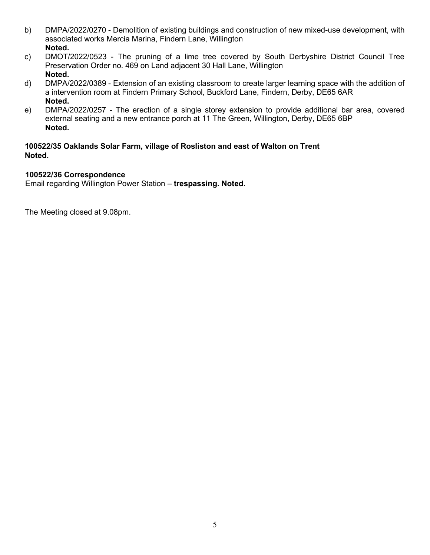- b) DMPA/2022/0270 Demolition of existing buildings and construction of new mixed-use development, with associated works Mercia Marina, Findern Lane, Willington **Noted.**
- c) DMOT/2022/0523 The pruning of a lime tree covered by South Derbyshire District Council Tree Preservation Order no. 469 on Land adjacent 30 Hall Lane, Willington **Noted.**
- d) DMPA/2022/0389 Extension of an existing classroom to create larger learning space with the addition of a intervention room at Findern Primary School, Buckford Lane, Findern, Derby, DE65 6AR **Noted.**
- e) DMPA/2022/0257 The erection of a single storey extension to provide additional bar area, covered external seating and a new entrance porch at 11 The Green, Willington, Derby, DE65 6BP **Noted.**

# **100522/35 Oaklands Solar Farm, village of Rosliston and east of Walton on Trent Noted.**

# **100522/36 Correspondence**

Email regarding Willington Power Station – **trespassing. Noted.**

The Meeting closed at 9.08pm.